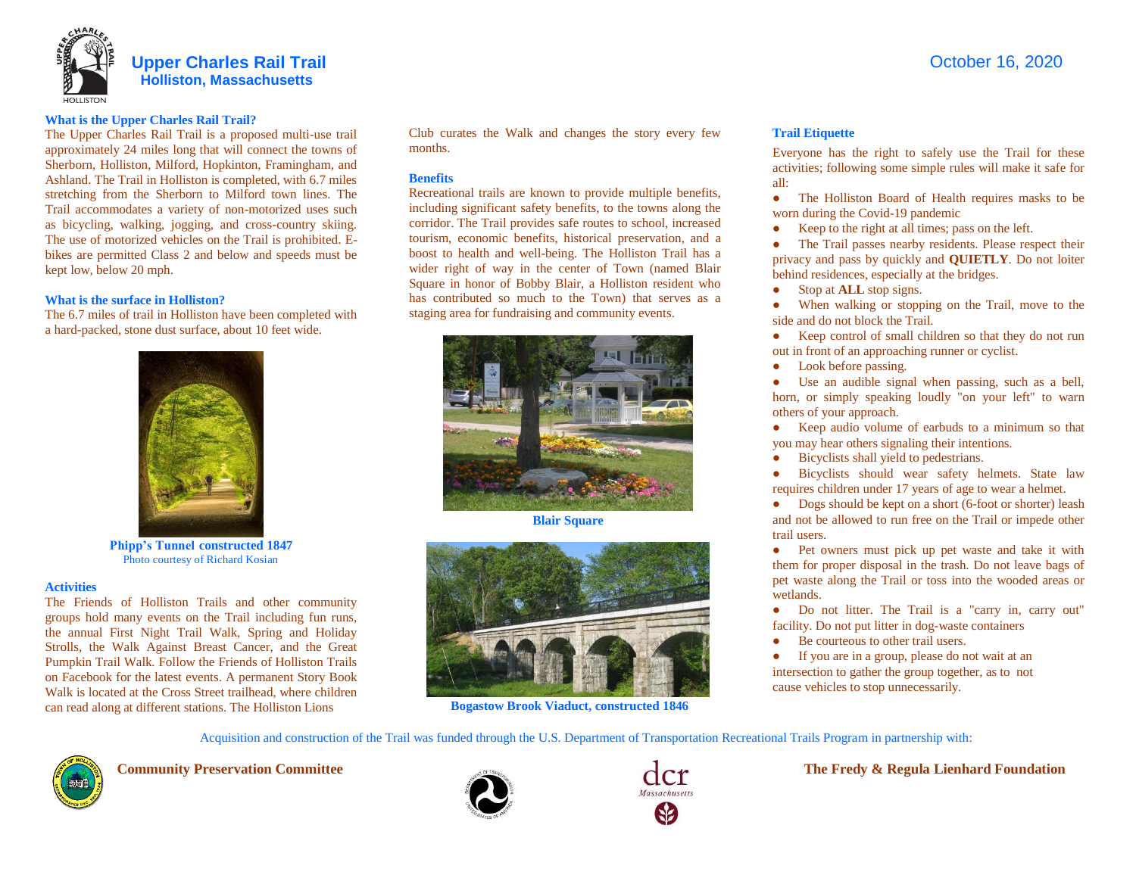

#### **What is the Upper Charles Rail Trail?**

The Upper Charles Rail Trail is a proposed multi-use trail approximately 24 miles long that will connect the towns of Sherborn, Holliston, Milford, Hopkinton, Framingham, and Ashland. The Trail in Holliston is completed, with 6.7 miles stretching from the Sherborn to Milford town lines. The Trail accommodates a variety of non-motorized uses such as bicycling, walking, jogging, and cross-country skiing. The use of motorized vehicles on the Trail is prohibited. Ebikes are permitted Class 2 and below and speeds must be kept low, below 20 mph.

### **What is the surface in Holliston?**

The 6.7 miles of trail in Holliston have been completed with a hard-packed, stone dust surface, about 10 feet wide.



**Phipp's Tunnel constructed 1847** Photo courtesy of Richard Kosian

#### **Activities**

The Friends of Holliston Trails and other community groups hold many events on the Trail including fun runs, the annual First Night Trail Walk, Spring and Holiday Strolls, the Walk Against Breast Cancer, and the Great Pumpkin Trail Walk. Follow the Friends of Holliston Trails on Facebook for the latest events. A permanent Story Book Walk is located at the Cross Street trailhead, where children can read along at different stations. The Holliston Lions

Club curates the Walk and changes the story every few months.

#### **Benefits**

Recreational trails are known to provide multiple benefits, including significant safety benefits, to the towns along the corridor. The Trail provides safe routes to school, increased tourism, economic benefits, historical preservation, and a boost to health and well-being. The Holliston Trail has a wider right of way in the center of Town (named Blair Square in honor of Bobby Blair, a Holliston resident who has contributed so much to the Town) that serves as a staging area for fundraising and community events.





 **Bogastow Brook Viaduct, constructed 1846**

#### **Trail Etiquette**

Everyone has the right to safely use the Trail for these activities; following some simple rules will make it safe for all:

- The Holliston Board of Health requires masks to be worn during the Covid-19 pandemic
- Keep to the right at all times; pass on the left.

• The Trail passes nearby residents. Please respect their privacy and pass by quickly and **QUIETLY**. Do not loiter behind residences, especially at the bridges.

- Stop at **ALL** stop signs.
- When walking or stopping on the Trail, move to the side and do not block the Trail.

• Keep control of small children so that they do not run out in front of an approaching runner or cyclist.

• Look before passing.

● Use an audible signal when passing, such as a bell, horn, or simply speaking loudly "on your left" to warn others of your approach.

● Keep audio volume of earbuds to a minimum so that you may hear others signaling their intentions.

● Bicyclists shall yield to pedestrians.

● Bicyclists should wear safety helmets. State law requires children under 17 years of age to wear a helmet.

• Dogs should be kept on a short (6-foot or shorter) leash and not be allowed to run free on the Trail or impede other trail users.

● Pet owners must pick up pet waste and take it with them for proper disposal in the trash. Do not leave bags of pet waste along the Trail or toss into the wooded areas or wetlands.

Do not litter. The Trail is a "carry in, carry out" facility. Do not put litter in dog-waste containers

● Be courteous to other trail users.

● If you are in a group, please do not wait at an intersection to gather the group together, as to not cause vehicles to stop unnecessarily.

Acquisition and construction of the Trail was funded through the U.S. Department of Transportation Recreational Trails Program in partnership with:







 **Community Preservation Committee Seconds Actually and Seconds and The Fredy & Regula Lienhard Foundation**